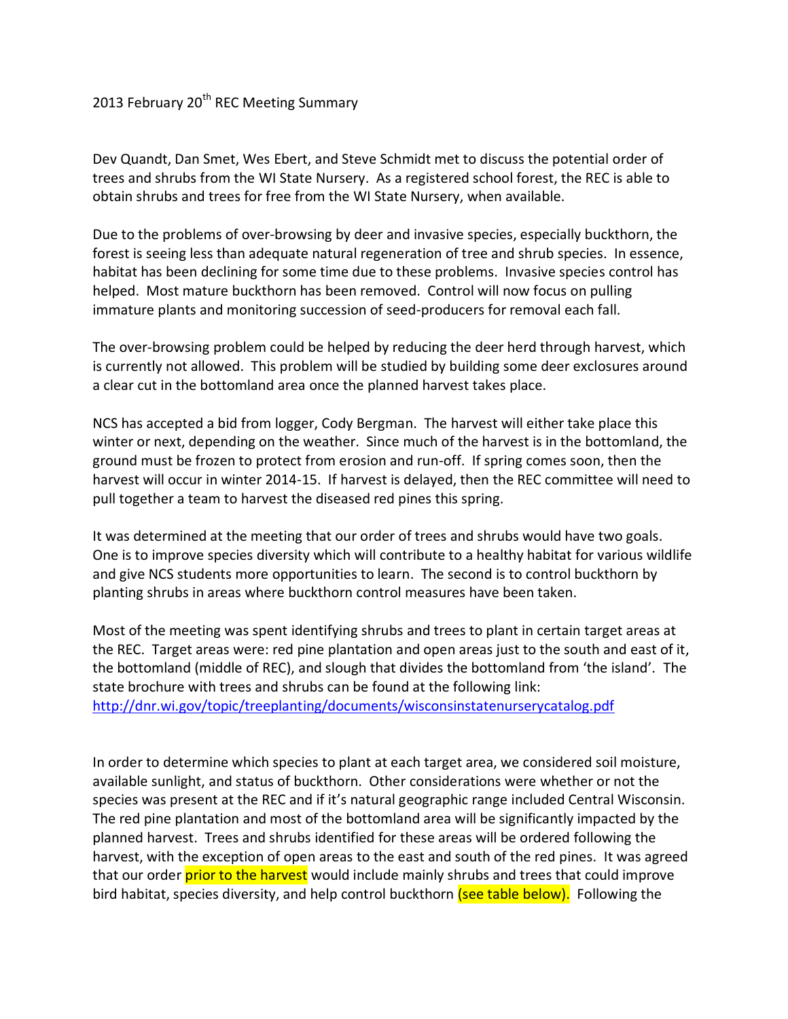## 2013 February 20<sup>th</sup> REC Meeting Summary

Dev Quandt, Dan Smet, Wes Ebert, and Steve Schmidt met to discuss the potential order of trees and shrubs from the WI State Nursery. As a registered school forest, the REC is able to obtain shrubs and trees for free from the WI State Nursery, when available.

Due to the problems of over-browsing by deer and invasive species, especially buckthorn, the forest is seeing less than adequate natural regeneration of tree and shrub species. In essence, habitat has been declining for some time due to these problems. Invasive species control has helped. Most mature buckthorn has been removed. Control will now focus on pulling immature plants and monitoring succession of seed-producers for removal each fall.

The over-browsing problem could be helped by reducing the deer herd through harvest, which is currently not allowed. This problem will be studied by building some deer exclosures around a clear cut in the bottomland area once the planned harvest takes place.

NCS has accepted a bid from logger, Cody Bergman. The harvest will either take place this winter or next, depending on the weather. Since much of the harvest is in the bottomland, the ground must be frozen to protect from erosion and run-off. If spring comes soon, then the harvest will occur in winter 2014-15. If harvest is delayed, then the REC committee will need to pull together a team to harvest the diseased red pines this spring.

It was determined at the meeting that our order of trees and shrubs would have two goals. One is to improve species diversity which will contribute to a healthy habitat for various wildlife and give NCS students more opportunities to learn. The second is to control buckthorn by planting shrubs in areas where buckthorn control measures have been taken.

Most of the meeting was spent identifying shrubs and trees to plant in certain target areas at the REC. Target areas were: red pine plantation and open areas just to the south and east of it, the bottomland (middle of REC), and slough that divides the bottomland from 'the island'. The state brochure with trees and shrubs can be found at the following link: <http://dnr.wi.gov/topic/treeplanting/documents/wisconsinstatenurserycatalog.pdf>

In order to determine which species to plant at each target area, we considered soil moisture, available sunlight, and status of buckthorn. Other considerations were whether or not the species was present at the REC and if it's natural geographic range included Central Wisconsin. The red pine plantation and most of the bottomland area will be significantly impacted by the planned harvest. Trees and shrubs identified for these areas will be ordered following the harvest, with the exception of open areas to the east and south of the red pines. It was agreed that our order prior to the harvest would include mainly shrubs and trees that could improve bird habitat, species diversity, and help control buckthorn (see table below). Following the